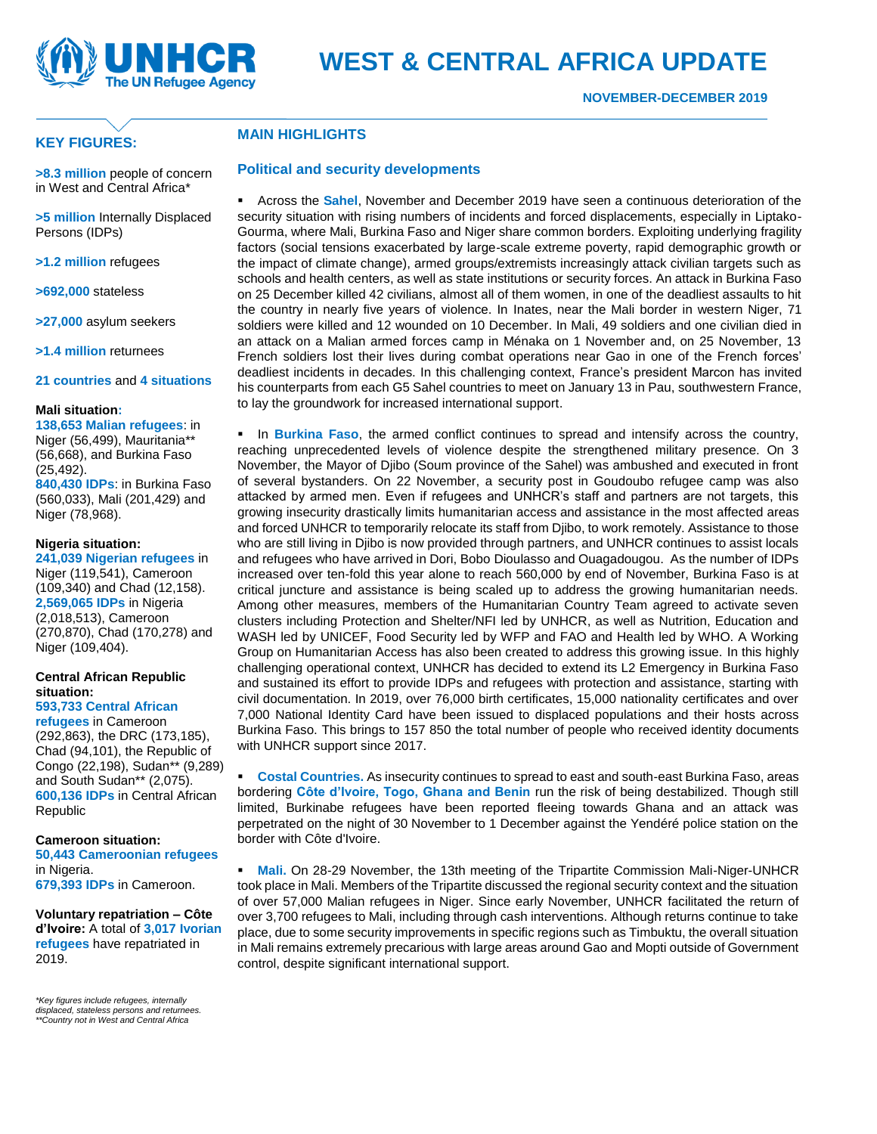

### **KEY FIGURES:**

## **MAIN HIGHLIGHTS**

**>8.3 million** people of concern in West and Central Africa\*

**>5 million** Internally Displaced Persons (IDPs)

**>1.2 million** refugees

**>692,000** stateless

**>27,000** asylum seekers

**>1.4 million** returnees

**21 countries** and **4 situations**

#### **Mali situation:**

**138,653 Malian refugees**: in Niger (56,499), Mauritania\*\* (56,668), and Burkina Faso (25,492). **840,430 IDPs**: in Burkina Faso (560,033), Mali (201,429) and Niger (78,968).

#### **Nigeria situation:**

**241,039 Nigerian refugees** in Niger (119,541), Cameroon (109,340) and Chad (12,158). **2,569,065 IDPs** in Nigeria (2,018,513), Cameroon (270,870), Chad (170,278) and Niger (109,404).

#### **Central African Republic situation:**

#### **593,733 Central African**

**refugees** in Cameroon (292,863), the DRC (173,185), Chad (94,101), the Republic of Congo (22,198), Sudan\*\* (9,289) and South Sudan\*\* (2,075). **600,136 IDPs** in Central African Republic

**Cameroon situation: 50,443 Cameroonian refugees** in Nigeria.

**679,393 IDPs** in Cameroon.

**Voluntary repatriation – Côte d'Ivoire:** A total of **3,017 Ivorian refugees** have repatriated in 2019.

*\*Key figures include refugees, internally displaced, stateless persons and returnees. \*\*Country not in West and Central Africa* **Political and security developments** ■ Across the **Sahel**, November and December 2019 have seen a continuous deterioration of the security situation with rising numbers of incidents and forced displacements, especially in Liptako-Gourma, where Mali, Burkina Faso and Niger share common borders. Exploiting underlying fragility factors (social tensions exacerbated by large-scale extreme poverty, rapid demographic growth or the impact of climate change), armed groups/extremists increasingly attack civilian targets such as schools and health centers, as well as state institutions or security forces. An attack in Burkina Faso on 25 December killed 42 civilians, almost all of them women, in one of the deadliest assaults to hit the country in nearly five years of violence. In Inates, near the Mali border in western Niger, 71 soldiers were killed and 12 wounded on 10 December. In Mali, 49 soldiers and one civilian died in an attack on a Malian armed forces camp in Ménaka on 1 November and, on 25 November, 13 French soldiers lost their lives during combat operations near Gao in one of the French forces' deadliest incidents in decades. In this challenging context, France's president Marcon has invited

**. In Burkina Faso**, the armed conflict continues to spread and intensify across the country, reaching unprecedented levels of violence despite the strengthened military presence. On 3 November, the Mayor of Djibo (Soum province of the Sahel) was ambushed and executed in front of several bystanders. On 22 November, a security post in Goudoubo refugee camp was also attacked by armed men. Even if refugees and UNHCR's staff and partners are not targets, this growing insecurity drastically limits humanitarian access and assistance in the most affected areas and forced UNHCR to temporarily relocate its staff from Djibo, to work remotely. Assistance to those who are still living in Djibo is now provided through partners, and UNHCR continues to assist locals and refugees who have arrived in Dori, Bobo Dioulasso and Ouagadougou. As the number of IDPs increased over ten-fold this year alone to reach 560,000 by end of November, Burkina Faso is at critical juncture and assistance is being scaled up to address the growing humanitarian needs. Among other measures, members of the Humanitarian Country Team agreed to activate seven clusters including Protection and Shelter/NFI led by UNHCR, as well as Nutrition, Education and WASH led by UNICEF, Food Security led by WFP and FAO and Health led by WHO. A Working Group on Humanitarian Access has also been created to address this growing issue. In this highly challenging operational context, UNHCR has decided to extend its L2 Emergency in Burkina Faso and sustained its effort to provide IDPs and refugees with protection and assistance, starting with civil documentation. In 2019, over 76,000 birth certificates, 15,000 nationality certificates and over 7,000 National Identity Card have been issued to displaced populations and their hosts across Burkina Faso. This brings to 157 850 the total number of people who received identity documents with UNHCR support since 2017.

his counterparts from each G5 Sahel countries to meet on January 13 in Pau, southwestern France,

to lay the groundwork for increased international support.

**• Costal Countries.** As insecurity continues to spread to east and south-east Burkina Faso, areas bordering **Côte d'Ivoire, Togo, Ghana and Benin** run the risk of being destabilized. Though still limited, Burkinabe refugees have been reported fleeing towards Ghana and an attack was perpetrated on the night of 30 November to 1 December against the Yendéré police station on the border with Côte d'Ivoire.

**• Mali.** On 28-29 November, the 13th meeting of the Tripartite Commission Mali-Niger-UNHCR took place in Mali. Members of the Tripartite discussed the regional security context and the situation of over 57,000 Malian refugees in Niger. Since early November, UNHCR facilitated the return of over 3,700 refugees to Mali, including through cash interventions. Although returns continue to take place, due to some security improvements in specific regions such as Timbuktu, the overall situation in Mali remains extremely precarious with large areas around Gao and Mopti outside of Government control, despite significant international support.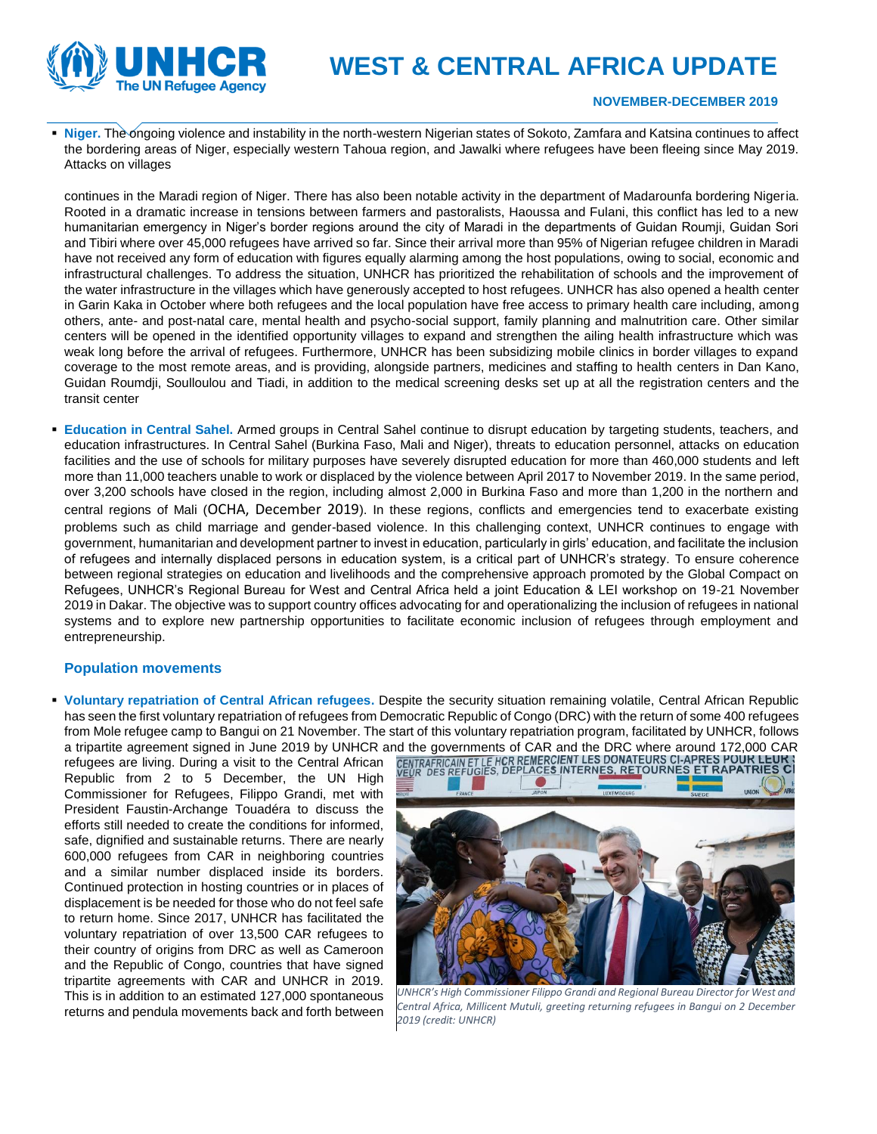

# **WEST & CENTRAL AFRICA UPDATE**

#### **NOVEMBER-DECEMBER 2019**

▪ **Niger.** The ongoing violence and instability in the north-western Nigerian states of Sokoto, Zamfara and Katsina continues to affect the bordering areas of Niger, especially western Tahoua region, and Jawalki where refugees have been fleeing since May 2019. Attacks on villages

continues in the Maradi region of Niger. There has also been notable activity in the department of Madarounfa bordering Nigeria. Rooted in a dramatic increase in tensions between farmers and pastoralists, Haoussa and Fulani, this conflict has led to a new humanitarian emergency in Niger's border regions around the city of Maradi in the departments of Guidan Roumji, Guidan Sori and Tibiri where over 45,000 refugees have arrived so far. Since their arrival more than 95% of Nigerian refugee children in Maradi have not received any form of education with figures equally alarming among the host populations, owing to social, economic and infrastructural challenges. To address the situation, UNHCR has prioritized the rehabilitation of schools and the improvement of the water infrastructure in the villages which have generously accepted to host refugees. UNHCR has also opened a health center in Garin Kaka in October where both refugees and the local population have free access to primary health care including, among others, ante- and post-natal care, mental health and psycho-social support, family planning and malnutrition care. Other similar centers will be opened in the identified opportunity villages to expand and strengthen the ailing health infrastructure which was weak long before the arrival of refugees. Furthermore, UNHCR has been subsidizing mobile clinics in border villages to expand coverage to the most remote areas, and is providing, alongside partners, medicines and staffing to health centers in Dan Kano, Guidan Roumdji, Soulloulou and Tiadi, in addition to the medical screening desks set up at all the registration centers and the transit center

**Education in Central Sahel.** Armed groups in Central Sahel continue to disrupt education by targeting students, teachers, and education infrastructures. In Central Sahel (Burkina Faso, Mali and Niger), threats to education personnel, attacks on education facilities and the use of schools for military purposes have severely disrupted education for more than 460,000 students and left more than 11,000 teachers unable to work or displaced by the violence between April 2017 to November 2019. In the same period, over 3,200 schools have closed in the region, including almost 2,000 in Burkina Faso and more than 1,200 in the northern and central regions of Mali ([OCHA, December 2019](https://eur02.safelinks.protection.outlook.com/?url=https%3A%2F%2Freliefweb.int%2Fsites%2Freliefweb.int%2Ffiles%2Fresources%2FExternal%2520Weekly%252010%2520-%252016%2520December%25202019%2520ENGLISH.pdf&data=02%7C01%7Csfeira%40unhcr.org%7C7a99828f3d114f250d2508d783d2aa16%7Ce5c37981666441348a0c6543d2af80be%7C0%7C0%7C637122813124966348&sdata=mDgNKNu63AplRmb8KieX4OCLmWJHH%2FCgmXvzCn2YxKc%3D&reserved=0)). In these regions, conflicts and emergencies tend to exacerbate existing problems such as child marriage and gender-based violence. In this challenging context, UNHCR continues to engage with government, humanitarian and development partner to invest in education, particularly in girls' education, and facilitate the inclusion of refugees and internally displaced persons in education system, is a critical part of UNHCR's strategy. To ensure coherence between regional strategies on education and livelihoods and the comprehensive approach promoted by the Global Compact on Refugees, UNHCR's Regional Bureau for West and Central Africa held a joint Education & LEI workshop on 19-21 November 2019 in Dakar. The objective was to support country offices advocating for and operationalizing the inclusion of refugees in national systems and to explore new partnership opportunities to facilitate economic inclusion of refugees through employment and entrepreneurship.

#### **Population movements**

▪ **Voluntary repatriation of Central African refugees.** Despite the security situation remaining volatile, Central African Republic has seen the first voluntary repatriation of refugees from Democratic Republic of Congo (DRC) with the return of some 400 refugees from Mole refugee camp to Bangui on 21 November. The start of this voluntary repatriation program, facilitated by UNHCR, follows a tripartite agreement signed in June 2019 by UNHCR and the governments of CAR and the DRC where around 172,000 CAR<br>refugees are living. During a visit to the Central African **CENTRAFRICAIN ET LE HCR REMERCIENT LES DONATEU** 

refugees are living. During a visit to the Central African Republic from 2 to 5 December, the UN High Commissioner for Refugees, Filippo Grandi, met with President Faustin-Archange Touadéra to discuss the efforts still needed to create the conditions for informed, safe, dignified and sustainable returns. There are nearly 600,000 refugees from CAR in neighboring countries and a similar number displaced inside its borders. Continued protection in hosting countries or in places of displacement is be needed for those who do not feel safe to return home. Since 2017, UNHCR has facilitated the voluntary repatriation of over 13,500 CAR refugees to their country of origins from DRC as well as Cameroon and the Republic of Congo, countries that have signed tripartite agreements with CAR and UNHCR in 2019. This is in addition to an estimated 127,000 spontaneous returns and pendula movements back and forth between



*UNHCR's High Commissioner Filippo Grandi and Regional Bureau Director for West and Central Africa, Millicent Mutuli, greeting returning refugees in Bangui on 2 December 2019 (credit: UNHCR)*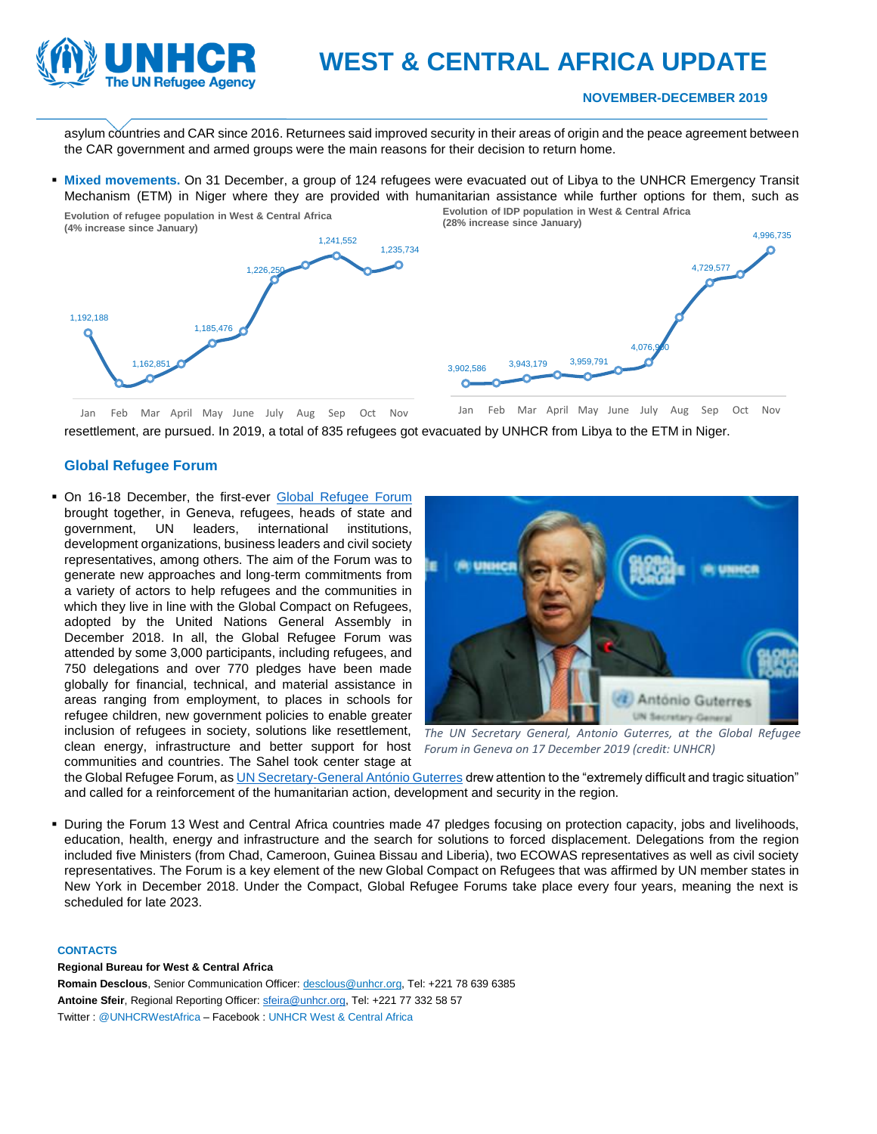

## **WEST & CENTRAL AFRICA UPDATE**

#### **NOVEMBER-DECEMBER 2019**

asylum countries and CAR since 2016. Returnees said improved security in their areas of origin and the peace agreement between the CAR government and armed groups were the main reasons for their decision to return home.

▪ **Mixed movements.** On 31 December, a group of 124 refugees were evacuated out of Libya to the UNHCR Emergency Transit Mechanism (ETM) in Niger where they are provided with humanitarian assistance while further options for them, such as



resettlement, are pursued. In 2019, a total of 835 refugees got evacuated by UNHCR from Libya to the ETM in Niger.

#### **Global Refugee Forum**

**• On 16-18 December, the first-ever [Global Refugee Forum](https://www.unhcr.org/5df69ca07)** brought together, in Geneva, refugees, heads of state and government, UN leaders, international institutions, development organizations, business leaders and civil society representatives, among others. The aim of the Forum was to generate new approaches and long-term commitments from a variety of actors to help refugees and the communities in which they live in line with the Global Compact on Refugees, adopted by the United Nations General Assembly in December 2018. In all, the Global Refugee Forum was attended by some 3,000 participants, including refugees, and 750 delegations and over 770 pledges have been made globally for financial, technical, and material assistance in areas ranging from employment, to places in schools for refugee children, new government policies to enable greater inclusion of refugees in society, solutions like resettlement, clean energy, infrastructure and better support for host communities and countries. The Sahel took center stage at



*The UN Secretary General, Antonio Guterres, at the Global Refugee Forum in Geneva on 17 December 2019 (credit: UNHCR)*

the Global Refugee Forum, a[s UN Secretary-General António Guterres](https://twitter.com/ONUinfo/status/1207387760971190273?s=20) drew attention to the "extremely difficult and tragic situation" and called for a reinforcement of the humanitarian action, development and security in the region.

▪ During the Forum 13 West and Central Africa countries made 47 pledges focusing on protection capacity, jobs and livelihoods, education, health, energy and infrastructure and the search for solutions to forced displacement. Delegations from the region included five Ministers (from Chad, Cameroon, Guinea Bissau and Liberia), two ECOWAS representatives as well as civil society representatives. The Forum is a key element of the new Global Compact on Refugees that was affirmed by UN member states in New York in December 2018. Under the Compact, Global Refugee Forums take place every four years, meaning the next is scheduled for late 2023.

#### **CONTACTS**

#### **Regional Bureau for West & Central Africa**

**Romain Desclous**, Senior Communication Officer: desclous@unhcr.org, Tel: +221 78 639 6385 Antoine Sfeir, Regional Reporting Officer[: sfeira@unhcr.org,](mailto:sfeira@unhcr.org) Tel: +221 77 332 58 57 Twitter : @UNHCRWestAfrica – Facebook : UNHCR West & Central Africa